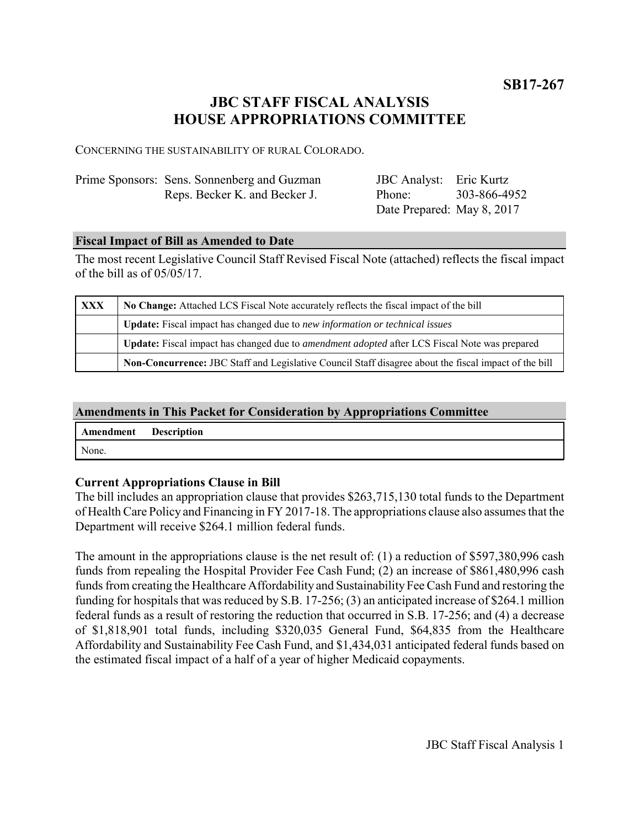**SB17-267**

# **JBC STAFF FISCAL ANALYSIS HOUSE APPROPRIATIONS COMMITTEE**

CONCERNING THE SUSTAINABILITY OF RURAL COLORADO.

| Prime Sponsors: Sens. Sonnenberg and Guzman | JBC Analyst: Eric Kurtz    |              |
|---------------------------------------------|----------------------------|--------------|
| Reps. Becker K. and Becker J.               | Phone:                     | 303-866-4952 |
|                                             | Date Prepared: May 8, 2017 |              |

### **Fiscal Impact of Bill as Amended to Date**

The most recent Legislative Council Staff Revised Fiscal Note (attached) reflects the fiscal impact of the bill as of 05/05/17.

| <b>XXX</b> | No Change: Attached LCS Fiscal Note accurately reflects the fiscal impact of the bill                       |  |  |  |
|------------|-------------------------------------------------------------------------------------------------------------|--|--|--|
|            | Update: Fiscal impact has changed due to new information or technical issues                                |  |  |  |
|            | <b>Update:</b> Fiscal impact has changed due to <i>amendment adopted</i> after LCS Fiscal Note was prepared |  |  |  |
|            | Non-Concurrence: JBC Staff and Legislative Council Staff disagree about the fiscal impact of the bill       |  |  |  |

## **Amendments in This Packet for Consideration by Appropriations Committee**

| Amendment Description |  |
|-----------------------|--|
| None.                 |  |

## **Current Appropriations Clause in Bill**

The bill includes an appropriation clause that provides \$263,715,130 total funds to the Department of Health Care Policy and Financing in FY 2017-18. The appropriations clause also assumes that the Department will receive \$264.1 million federal funds.

The amount in the appropriations clause is the net result of: (1) a reduction of \$597,380,996 cash funds from repealing the Hospital Provider Fee Cash Fund; (2) an increase of \$861,480,996 cash funds from creating the Healthcare Affordability and Sustainability Fee Cash Fund and restoring the funding for hospitals that was reduced by S.B. 17-256; (3) an anticipated increase of \$264.1 million federal funds as a result of restoring the reduction that occurred in S.B. 17-256; and (4) a decrease of \$1,818,901 total funds, including \$320,035 General Fund, \$64,835 from the Healthcare Affordability and Sustainability Fee Cash Fund, and \$1,434,031 anticipated federal funds based on the estimated fiscal impact of a half of a year of higher Medicaid copayments.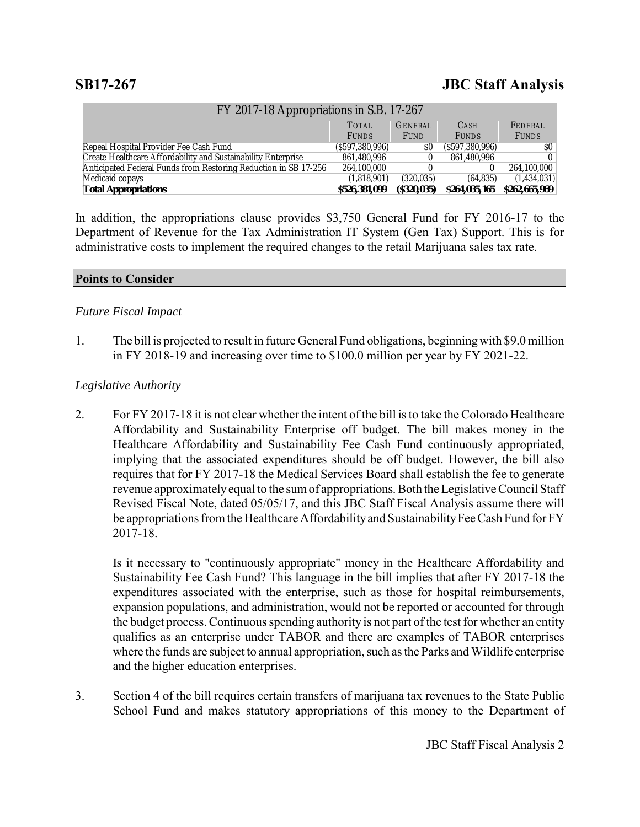# **SB17-267 JBC Staff Analysis**

| FY 2017-18 Appropriations in S.B. 17-267                        |                  |                |                  |               |  |  |  |
|-----------------------------------------------------------------|------------------|----------------|------------------|---------------|--|--|--|
|                                                                 | <b>TOTAL</b>     | <b>GENERAL</b> | <b>CASH</b>      | FEDERAL       |  |  |  |
|                                                                 | <b>FUNDS</b>     | <b>FUND</b>    | <b>FUNDS</b>     | <b>FUNDS</b>  |  |  |  |
| Repeal Hospital Provider Fee Cash Fund                          | (S597, 380, 996) | \$O            | (S597, 380, 996) | SO.           |  |  |  |
| Create Healthcare Affordability and Sustainability Enterprise   | 861,480,996      |                | 861.480.996      |               |  |  |  |
| Anticipated Federal Funds from Restoring Reduction in SB 17-256 | 264,100,000      |                |                  | 264,100,000   |  |  |  |
| Medicaid copays                                                 | (1.818.901)      | (320.035)      | (64.835)         | (1,434,031)   |  |  |  |
| <b>Total Appropriations</b>                                     | \$526,381,099    | $($ \$320,035) | \$264,035,165    | \$262,665,969 |  |  |  |

In addition, the appropriations clause provides \$3,750 General Fund for FY 2016-17 to the Department of Revenue for the Tax Administration IT System (Gen Tax) Support. This is for administrative costs to implement the required changes to the retail Marijuana sales tax rate.

### **Points to Consider**

### *Future Fiscal Impact*

1. The bill is projected to result in future General Fund obligations, beginning with \$9.0 million in FY 2018-19 and increasing over time to \$100.0 million per year by FY 2021-22.

### *Legislative Authority*

2. For FY 2017-18 it is not clear whether the intent of the bill is to take the Colorado Healthcare Affordability and Sustainability Enterprise off budget. The bill makes money in the Healthcare Affordability and Sustainability Fee Cash Fund continuously appropriated, implying that the associated expenditures should be off budget. However, the bill also requires that for FY 2017-18 the Medical Services Board shall establish the fee to generate revenue approximately equal to the sum of appropriations. Both the Legislative Council Staff Revised Fiscal Note, dated 05/05/17, and this JBC Staff Fiscal Analysis assume there will be appropriations from the Healthcare Affordability and Sustainability Fee Cash Fund for FY 2017-18.

Is it necessary to "continuously appropriate" money in the Healthcare Affordability and Sustainability Fee Cash Fund? This language in the bill implies that after FY 2017-18 the expenditures associated with the enterprise, such as those for hospital reimbursements, expansion populations, and administration, would not be reported or accounted for through the budget process. Continuous spending authority is not part of the test for whether an entity qualifies as an enterprise under TABOR and there are examples of TABOR enterprises where the funds are subject to annual appropriation, such as the Parks and Wildlife enterprise and the higher education enterprises.

3. Section 4 of the bill requires certain transfers of marijuana tax revenues to the State Public School Fund and makes statutory appropriations of this money to the Department of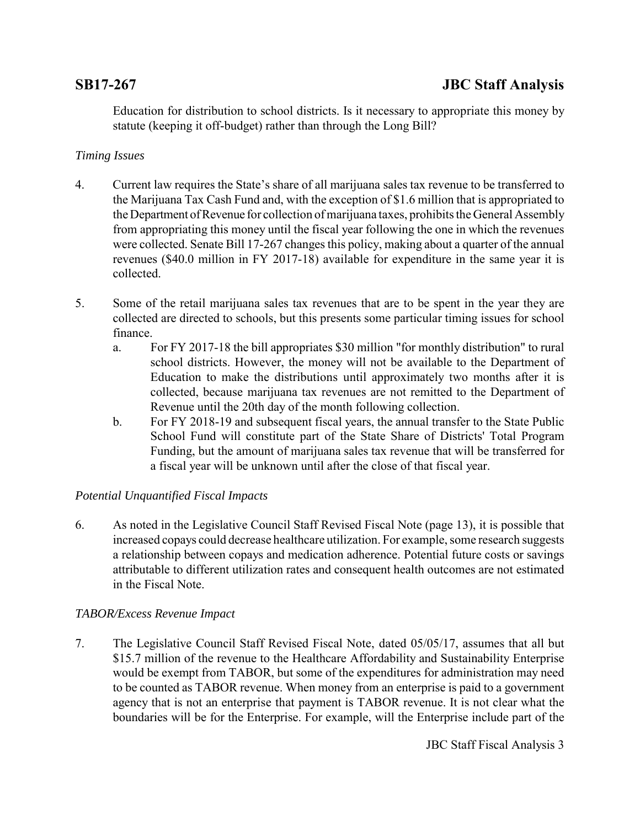Education for distribution to school districts. Is it necessary to appropriate this money by statute (keeping it off-budget) rather than through the Long Bill?

# *Timing Issues*

- 4. Current law requires the State's share of all marijuana sales tax revenue to be transferred to the Marijuana Tax Cash Fund and, with the exception of \$1.6 million that is appropriated to the Department of Revenue for collection of marijuana taxes, prohibits the General Assembly from appropriating this money until the fiscal year following the one in which the revenues were collected. Senate Bill 17-267 changes this policy, making about a quarter of the annual revenues (\$40.0 million in FY 2017-18) available for expenditure in the same year it is collected.
- 5. Some of the retail marijuana sales tax revenues that are to be spent in the year they are collected are directed to schools, but this presents some particular timing issues for school finance.
	- a. For FY 2017-18 the bill appropriates \$30 million "for monthly distribution" to rural school districts. However, the money will not be available to the Department of Education to make the distributions until approximately two months after it is collected, because marijuana tax revenues are not remitted to the Department of Revenue until the 20th day of the month following collection.
	- b. For FY 2018-19 and subsequent fiscal years, the annual transfer to the State Public School Fund will constitute part of the State Share of Districts' Total Program Funding, but the amount of marijuana sales tax revenue that will be transferred for a fiscal year will be unknown until after the close of that fiscal year.

## *Potential Unquantified Fiscal Impacts*

6. As noted in the Legislative Council Staff Revised Fiscal Note (page 13), it is possible that increased copays could decrease healthcare utilization. For example, some research suggests a relationship between copays and medication adherence. Potential future costs or savings attributable to different utilization rates and consequent health outcomes are not estimated in the Fiscal Note.

# *TABOR/Excess Revenue Impact*

7. The Legislative Council Staff Revised Fiscal Note, dated 05/05/17, assumes that all but \$15.7 million of the revenue to the Healthcare Affordability and Sustainability Enterprise would be exempt from TABOR, but some of the expenditures for administration may need to be counted as TABOR revenue. When money from an enterprise is paid to a government agency that is not an enterprise that payment is TABOR revenue. It is not clear what the boundaries will be for the Enterprise. For example, will the Enterprise include part of the